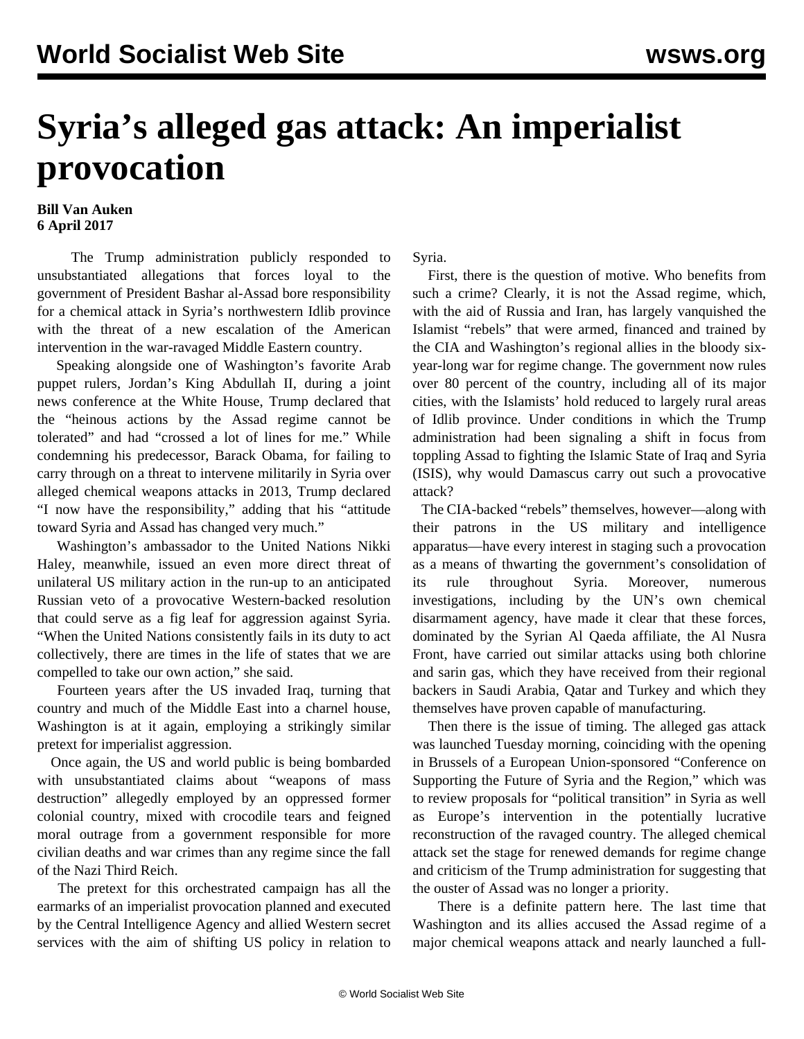## **Syria's alleged gas attack: An imperialist provocation**

## **Bill Van Auken 6 April 2017**

 The Trump administration publicly responded to unsubstantiated allegations that forces loyal to the government of President Bashar al-Assad bore responsibility for a chemical attack in Syria's northwestern Idlib province with the threat of a new escalation of the American intervention in the war-ravaged Middle Eastern country.

 Speaking alongside one of Washington's favorite Arab puppet rulers, Jordan's King Abdullah II, during a joint news conference at the White House, Trump declared that the "heinous actions by the Assad regime cannot be tolerated" and had "crossed a lot of lines for me." While condemning his predecessor, Barack Obama, for failing to carry through on a threat to intervene militarily in Syria over alleged chemical weapons attacks in 2013, Trump declared "I now have the responsibility," adding that his "attitude toward Syria and Assad has changed very much."

 Washington's ambassador to the United Nations Nikki Haley, meanwhile, issued an even more direct threat of unilateral US military action in the run-up to an anticipated Russian veto of a provocative Western-backed resolution that could serve as a fig leaf for aggression against Syria. "When the United Nations consistently fails in its duty to act collectively, there are times in the life of states that we are compelled to take our own action," she said.

 Fourteen years after the US invaded Iraq, turning that country and much of the Middle East into a charnel house, Washington is at it again, employing a strikingly similar pretext for imperialist aggression.

 Once again, the US and world public is being bombarded with unsubstantiated claims about "weapons of mass destruction" allegedly employed by an oppressed former colonial country, mixed with crocodile tears and feigned moral outrage from a government responsible for more civilian deaths and war crimes than any regime since the fall of the Nazi Third Reich.

 The pretext for this orchestrated campaign has all the earmarks of an imperialist provocation planned and executed by the Central Intelligence Agency and allied Western secret services with the aim of shifting US policy in relation to Syria.

 First, there is the question of motive. Who benefits from such a crime? Clearly, it is not the Assad regime, which, with the aid of Russia and Iran, has largely vanquished the Islamist "rebels" that were armed, financed and trained by the CIA and Washington's regional allies in the bloody sixyear-long war for regime change. The government now rules over 80 percent of the country, including all of its major cities, with the Islamists' hold reduced to largely rural areas of Idlib province. Under conditions in which the Trump administration had been signaling a shift in focus from toppling Assad to fighting the Islamic State of Iraq and Syria (ISIS), why would Damascus carry out such a provocative attack?

 The CIA-backed "rebels" themselves, however—along with their patrons in the US military and intelligence apparatus—have every interest in staging such a provocation as a means of thwarting the government's consolidation of its rule throughout Syria. Moreover, numerous investigations, including by the UN's own chemical disarmament agency, have made it clear that these forces, dominated by the Syrian Al Qaeda affiliate, the Al Nusra Front, have carried out similar attacks using both chlorine and sarin gas, which they have received from their regional backers in Saudi Arabia, Qatar and Turkey and which they themselves have proven capable of manufacturing.

 Then there is the issue of timing. The alleged gas attack was launched Tuesday morning, coinciding with the opening in Brussels of a European Union-sponsored "Conference on Supporting the Future of Syria and the Region," which was to review proposals for "political transition" in Syria as well as Europe's intervention in the potentially lucrative reconstruction of the ravaged country. The alleged chemical attack set the stage for renewed demands for regime change and criticism of the Trump administration for suggesting that the ouster of Assad was no longer a priority.

 There is a definite pattern here. The last time that Washington and its allies accused the Assad regime of a major chemical weapons attack and nearly launched a full